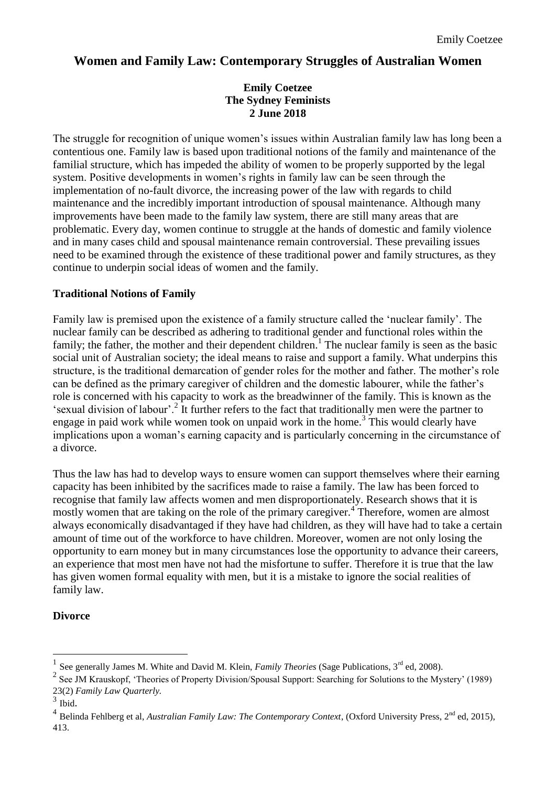# **Women and Family Law: Contemporary Struggles of Australian Women**

### **Emily Coetzee The Sydney Feminists 2 June 2018**

The struggle for recognition of unique women's issues within Australian family law has long been a contentious one. Family law is based upon traditional notions of the family and maintenance of the familial structure, which has impeded the ability of women to be properly supported by the legal system. Positive developments in women's rights in family law can be seen through the implementation of no-fault divorce, the increasing power of the law with regards to child maintenance and the incredibly important introduction of spousal maintenance. Although many improvements have been made to the family law system, there are still many areas that are problematic. Every day, women continue to struggle at the hands of domestic and family violence and in many cases child and spousal maintenance remain controversial. These prevailing issues need to be examined through the existence of these traditional power and family structures, as they continue to underpin social ideas of women and the family.

### **Traditional Notions of Family**

Family law is premised upon the existence of a family structure called the 'nuclear family'. The nuclear family can be described as adhering to traditional gender and functional roles within the family; the father, the mother and their dependent children.<sup>1</sup> The nuclear family is seen as the basic social unit of Australian society; the ideal means to raise and support a family. What underpins this structure, is the traditional demarcation of gender roles for the mother and father. The mother's role can be defined as the primary caregiver of children and the domestic labourer, while the father's role is concerned with his capacity to work as the breadwinner of the family. This is known as the 'sexual division of labour'.<sup>2</sup> It further refers to the fact that traditionally men were the partner to engage in paid work while women took on unpaid work in the home.<sup>3</sup> This would clearly have implications upon a woman's earning capacity and is particularly concerning in the circumstance of a divorce.

Thus the law has had to develop ways to ensure women can support themselves where their earning capacity has been inhibited by the sacrifices made to raise a family. The law has been forced to recognise that family law affects women and men disproportionately. Research shows that it is mostly women that are taking on the role of the primary caregiver.<sup>4</sup> Therefore, women are almost always economically disadvantaged if they have had children, as they will have had to take a certain amount of time out of the workforce to have children. Moreover, women are not only losing the opportunity to earn money but in many circumstances lose the opportunity to advance their careers, an experience that most men have not had the misfortune to suffer. Therefore it is true that the law has given women formal equality with men, but it is a mistake to ignore the social realities of family law.

### **Divorce**

<u>.</u>

<sup>1</sup> See generally James M. White and David M. Klein, *Family Theories* (Sage Publications, 3<sup>rd</sup> ed, 2008).

<sup>&</sup>lt;sup>2</sup> See JM Krauskopf, 'Theories of Property Division/Spousal Support: Searching for Solutions to the Mystery' (1989) 23(2) *Family Law Quarterly.*

 $\frac{3}{4}$  Ibid.

Belinda Fehlberg et al, *Australian Family Law: The Contemporary Context*, (Oxford University Press, 2<sup>nd</sup> ed, 2015), 413.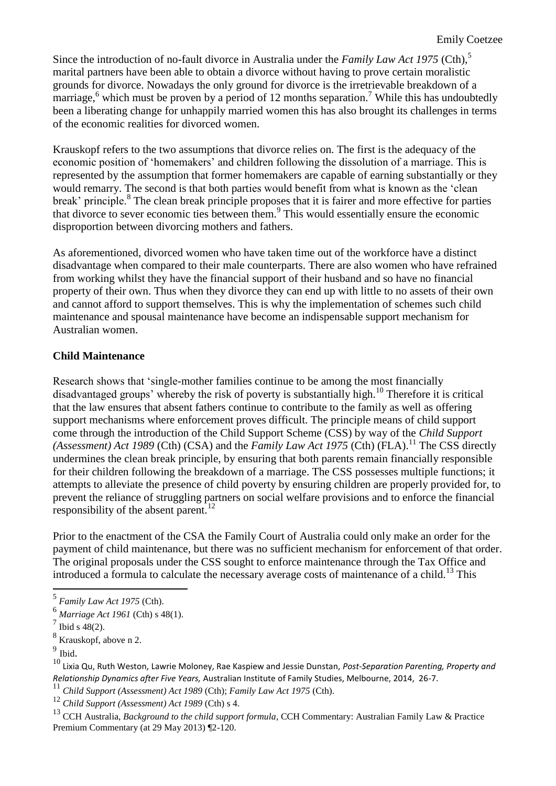Since the introduction of no-fault divorce in Australia under the *Family Law Act 1975* (Cth),<sup>5</sup> marital partners have been able to obtain a divorce without having to prove certain moralistic grounds for divorce. Nowadays the only ground for divorce is the irretrievable breakdown of a marriage, $6$  which must be proven by a period of 12 months separation.<sup>7</sup> While this has undoubtedly been a liberating change for unhappily married women this has also brought its challenges in terms of the economic realities for divorced women.

Krauskopf refers to the two assumptions that divorce relies on. The first is the adequacy of the economic position of 'homemakers' and children following the dissolution of a marriage. This is represented by the assumption that former homemakers are capable of earning substantially or they would remarry. The second is that both parties would benefit from what is known as the 'clean break' principle.<sup>8</sup> The clean break principle proposes that it is fairer and more effective for parties that divorce to sever economic ties between them.<sup>9</sup> This would essentially ensure the economic disproportion between divorcing mothers and fathers.

As aforementioned, divorced women who have taken time out of the workforce have a distinct disadvantage when compared to their male counterparts. There are also women who have refrained from working whilst they have the financial support of their husband and so have no financial property of their own. Thus when they divorce they can end up with little to no assets of their own and cannot afford to support themselves. This is why the implementation of schemes such child maintenance and spousal maintenance have become an indispensable support mechanism for Australian women.

### **Child Maintenance**

Research shows that 'single-mother families continue to be among the most financially disadvantaged groups' whereby the risk of poverty is substantially high.<sup>10</sup> Therefore it is critical that the law ensures that absent fathers continue to contribute to the family as well as offering support mechanisms where enforcement proves difficult. The principle means of child support come through the introduction of the Child Support Scheme (CSS) by way of the *Child Support*   $(Assessment)$  *Act 1989* (Cth) (CSA) and the *Family Law Act 1975* (Cth) (FLA).<sup>11</sup> The CSS directly undermines the clean break principle, by ensuring that both parents remain financially responsible for their children following the breakdown of a marriage. The CSS possesses multiple functions; it attempts to alleviate the presence of child poverty by ensuring children are properly provided for, to prevent the reliance of struggling partners on social welfare provisions and to enforce the financial responsibility of the absent parent.<sup>12</sup>

Prior to the enactment of the CSA the Family Court of Australia could only make an order for the payment of child maintenance, but there was no sufficient mechanism for enforcement of that order. The original proposals under the CSS sought to enforce maintenance through the Tax Office and introduced a formula to calculate the necessary average costs of maintenance of a child.<sup>13</sup> This

 5 *Family Law Act 1975* (Cth).

<sup>6</sup> *Marriage Act 1961* (Cth) s 48(1).

 $^7$  Ibid s 48(2).

<sup>8</sup> Krauskopf, above n 2.

 $9$  Ibid.

<sup>10</sup> Lixia Qu, Ruth Weston, Lawrie Moloney, Rae Kaspiew and Jessie Dunstan, *Post-Separation Parenting, Property and Relationship Dynamics after Five Years,* Australian Institute of Family Studies, Melbourne, 2014, 26-7.

<sup>11</sup> *Child Support (Assessment) Act 1989* (Cth); *Family Law Act 1975* (Cth).

<sup>12</sup> *Child Support (Assessment) Act 1989* (Cth) s 4.

<sup>13</sup> CCH Australia, *Background to the child support formula*, CCH Commentary: Australian Family Law & Practice Premium Commentary (at 29 May 2013) ¶2-120.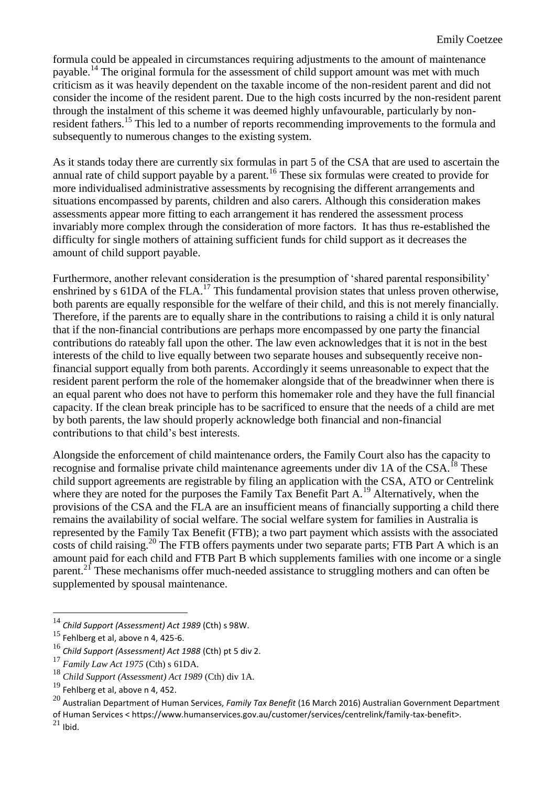formula could be appealed in circumstances requiring adjustments to the amount of maintenance payable.<sup>14</sup> The original formula for the assessment of child support amount was met with much criticism as it was heavily dependent on the taxable income of the non-resident parent and did not consider the income of the resident parent. Due to the high costs incurred by the non-resident parent through the instalment of this scheme it was deemed highly unfavourable, particularly by nonresident fathers.<sup>15</sup> This led to a number of reports recommending improvements to the formula and subsequently to numerous changes to the existing system.

As it stands today there are currently six formulas in part 5 of the CSA that are used to ascertain the annual rate of child support payable by a parent.<sup>16</sup> These six formulas were created to provide for more individualised administrative assessments by recognising the different arrangements and situations encompassed by parents, children and also carers. Although this consideration makes assessments appear more fitting to each arrangement it has rendered the assessment process invariably more complex through the consideration of more factors. It has thus re-established the difficulty for single mothers of attaining sufficient funds for child support as it decreases the amount of child support payable.

Furthermore, another relevant consideration is the presumption of 'shared parental responsibility' enshrined by s 61DA of the FLA.<sup>17</sup> This fundamental provision states that unless proven otherwise, both parents are equally responsible for the welfare of their child, and this is not merely financially. Therefore, if the parents are to equally share in the contributions to raising a child it is only natural that if the non-financial contributions are perhaps more encompassed by one party the financial contributions do rateably fall upon the other. The law even acknowledges that it is not in the best interests of the child to live equally between two separate houses and subsequently receive nonfinancial support equally from both parents. Accordingly it seems unreasonable to expect that the resident parent perform the role of the homemaker alongside that of the breadwinner when there is an equal parent who does not have to perform this homemaker role and they have the full financial capacity. If the clean break principle has to be sacrificed to ensure that the needs of a child are met by both parents, the law should properly acknowledge both financial and non-financial contributions to that child's best interests.

Alongside the enforcement of child maintenance orders, the Family Court also has the capacity to recognise and formalise private child maintenance agreements under div 1A of the CSA.<sup>18</sup> These child support agreements are registrable by filing an application with the CSA, ATO or Centrelink where they are noted for the purposes the Family Tax Benefit Part A.<sup>19</sup> Alternatively, when the provisions of the CSA and the FLA are an insufficient means of financially supporting a child there remains the availability of social welfare. The social welfare system for families in Australia is represented by the Family Tax Benefit (FTB); a two part payment which assists with the associated costs of child raising.<sup>20</sup> The FTB offers payments under two separate parts; FTB Part A which is an amount paid for each child and FTB Part B which supplements families with one income or a single parent.<sup>21</sup> These mechanisms offer much-needed assistance to struggling mothers and can often be supplemented by spousal maintenance.

 $21$  Ibid.

1

<sup>14</sup> *Child Support (Assessment) Act 1989* (Cth) s 98W.

 $15$  Fehlberg et al, above n 4, 425-6.

<sup>16</sup> *Child Support (Assessment) Act 1988* (Cth) pt 5 div 2.

<sup>17</sup> *Family Law Act 1975* (Cth) s 61DA.

<sup>18</sup> *Child Support (Assessment) Act 1989* (Cth) div 1A.

 $19$  Fehlberg et al, above n 4, 452.

<sup>20</sup> Australian Department of Human Services, *Family Tax Benefit* (16 March 2016) Australian Government Department of Human Services < https://www.humanservices.gov.au/customer/services/centrelink/family-tax-benefit>.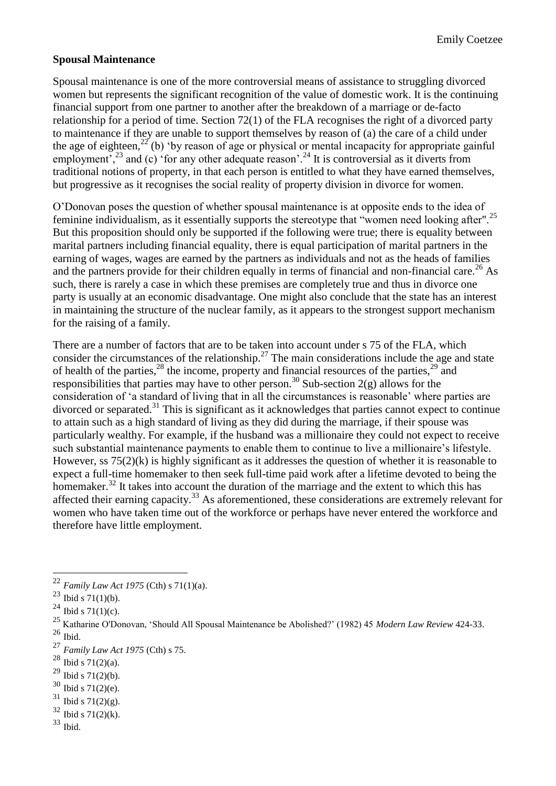### **Spousal Maintenance**

Spousal maintenance is one of the more controversial means of assistance to struggling divorced women but represents the significant recognition of the value of domestic work. It is the continuing financial support from one partner to another after the breakdown of a marriage or de-facto relationship for a period of time. Section 72(1) of the FLA recognises the right of a divorced party to maintenance if they are unable to support themselves by reason of (a) the care of a child under the age of eighteen,<sup>22</sup> (b) 'by reason of age or physical or mental incapacity for appropriate gainful employment,  $23$  and (c) 'for any other adequate reason'.  $24$  It is controversial as it diverts from traditional notions of property, in that each person is entitled to what they have earned themselves, but progressive as it recognises the social reality of property division in divorce for women.

O'Donovan poses the question of whether spousal maintenance is at opposite ends to the idea of feminine individualism, as it essentially supports the stereotype that "women need looking after".<sup>25</sup> But this proposition should only be supported if the following were true; there is equality between marital partners including financial equality, there is equal participation of marital partners in the earning of wages, wages are earned by the partners as individuals and not as the heads of families and the partners provide for their children equally in terms of financial and non-financial care.<sup>26</sup> As such, there is rarely a case in which these premises are completely true and thus in divorce one party is usually at an economic disadvantage. One might also conclude that the state has an interest in maintaining the structure of the nuclear family, as it appears to the strongest support mechanism for the raising of a family.

There are a number of factors that are to be taken into account under s 75 of the FLA, which consider the circumstances of the relationship.<sup>27</sup> The main considerations include the age and state of health of the parties,  $^{28}$  the income, property and financial resources of the parties,  $^{29}$  and responsibilities that parties may have to other person.<sup>30</sup> Sub-section  $2(g)$  allows for the consideration of 'a standard of living that in all the circumstances is reasonable' where parties are divorced or separated.<sup>31</sup> This is significant as it acknowledges that parties cannot expect to continue to attain such as a high standard of living as they did during the marriage, if their spouse was particularly wealthy. For example, if the husband was a millionaire they could not expect to receive such substantial maintenance payments to enable them to continue to live a millionaire's lifestyle. However, ss 75(2)(k) is highly significant as it addresses the question of whether it is reasonable to expect a full-time homemaker to then seek full-time paid work after a lifetime devoted to being the homemaker.<sup>32</sup> It takes into account the duration of the marriage and the extent to which this has affected their earning capacity.<sup>33</sup> As aforementioned, these considerations are extremely relevant for women who have taken time out of the workforce or perhaps have never entered the workforce and therefore have little employment.

1

- $30$  Ibid s 71(2)(e).
- $31$  Ibid s 71(2)(g).
- $32$  Ibid s 71(2)(k).

<sup>33</sup> Ibid.

<sup>22</sup> *Family Law Act 1975* (Cth) s 71(1)(a).

 $^{23}$  Ibid s 71(1)(b).

<sup>&</sup>lt;sup>24</sup> Ibid s 71(1)(c).

<sup>25</sup> Katharine O'Donovan, 'Should All Spousal Maintenance be Abolished?' (1982) 45 *Modern Law Review* 424-33.  $26$  Ibid.

<sup>27</sup> *Family Law Act 1975* (Cth) s 75.

 $28$  Ibid s 71(2)(a).

 $^{29}$  Ibid s 71(2)(b).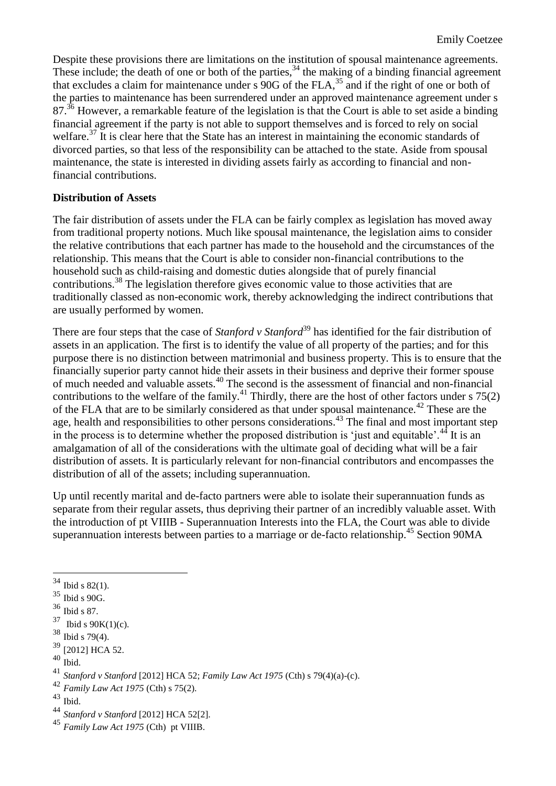Despite these provisions there are limitations on the institution of spousal maintenance agreements. These include; the death of one or both of the parties,  $34$  the making of a binding financial agreement that excludes a claim for maintenance under s  $90G$  of the FLA,<sup>35</sup> and if the right of one or both of the parties to maintenance has been surrendered under an approved maintenance agreement under s 87.<sup>36</sup> However, a remarkable feature of the legislation is that the Court is able to set aside a binding financial agreement if the party is not able to support themselves and is forced to rely on social welfare.<sup>37</sup> It is clear here that the State has an interest in maintaining the economic standards of divorced parties, so that less of the responsibility can be attached to the state. Aside from spousal maintenance, the state is interested in dividing assets fairly as according to financial and nonfinancial contributions.

### **Distribution of Assets**

The fair distribution of assets under the FLA can be fairly complex as legislation has moved away from traditional property notions. Much like spousal maintenance, the legislation aims to consider the relative contributions that each partner has made to the household and the circumstances of the relationship. This means that the Court is able to consider non-financial contributions to the household such as child-raising and domestic duties alongside that of purely financial contributions.<sup>38</sup> The legislation therefore gives economic value to those activities that are traditionally classed as non-economic work, thereby acknowledging the indirect contributions that are usually performed by women.

There are four steps that the case of *Stanford v Stanford*<sup>39</sup> has identified for the fair distribution of assets in an application. The first is to identify the value of all property of the parties; and for this purpose there is no distinction between matrimonial and business property. This is to ensure that the financially superior party cannot hide their assets in their business and deprive their former spouse of much needed and valuable assets.<sup>40</sup> The second is the assessment of financial and non-financial contributions to the welfare of the family.<sup>41</sup> Thirdly, there are the host of other factors under s  $75(2)$ of the FLA that are to be similarly considered as that under spousal maintenance.<sup>42</sup> These are the age, health and responsibilities to other persons considerations.<sup>43</sup> The final and most important step in the process is to determine whether the proposed distribution is 'just and equitable'.<sup>44</sup> It is an amalgamation of all of the considerations with the ultimate goal of deciding what will be a fair distribution of assets. It is particularly relevant for non-financial contributors and encompasses the distribution of all of the assets; including superannuation.

Up until recently marital and de-facto partners were able to isolate their superannuation funds as separate from their regular assets, thus depriving their partner of an incredibly valuable asset. With the introduction of pt VIIIB - Superannuation Interests into the FLA, the Court was able to divide superannuation interests between parties to a marriage or de-facto relationship.<sup>45</sup> Section 90MA

1

 $34$  Ibid s 82(1).

 $35$  Ibid s 90G.

 $^{\rm 36}$  Ibid s 87.

 $37$  Ibid s 90K(1)(c).

<sup>38</sup> Ibid s 79(4).

<sup>39</sup> [2012] HCA 52.

 $\frac{40}{1}$  Ibid.

<sup>41</sup> *Stanford v Stanford* [2012] HCA 52; *Family Law Act 1975* (Cth) s 79(4)(a)-(c).

<sup>42</sup> *Family Law Act 1975* (Cth) s 75(2).

 $^{43}$  Ibid.

<sup>44</sup> *Stanford v Stanford* [2012] HCA 52[2].

<sup>45</sup> *Family Law Act 1975* (Cth) pt VIIIB.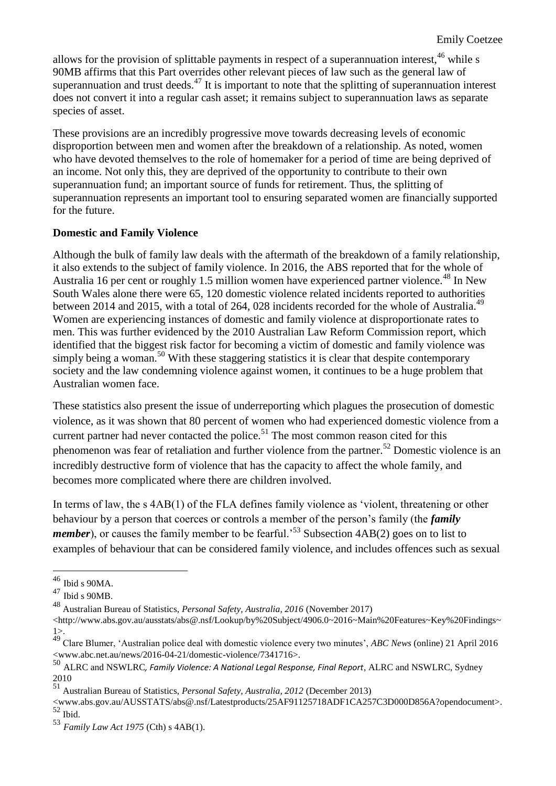allows for the provision of splittable payments in respect of a superannuation interest,  $46$  while s 90MB affirms that this Part overrides other relevant pieces of law such as the general law of superannuation and trust deeds.<sup>47</sup> It is important to note that the splitting of superannuation interest does not convert it into a regular cash asset; it remains subject to superannuation laws as separate species of asset.

These provisions are an incredibly progressive move towards decreasing levels of economic disproportion between men and women after the breakdown of a relationship. As noted, women who have devoted themselves to the role of homemaker for a period of time are being deprived of an income. Not only this, they are deprived of the opportunity to contribute to their own superannuation fund; an important source of funds for retirement. Thus, the splitting of superannuation represents an important tool to ensuring separated women are financially supported for the future.

### **Domestic and Family Violence**

Although the bulk of family law deals with the aftermath of the breakdown of a family relationship, it also extends to the subject of family violence. In 2016, the ABS reported that for the whole of Australia 16 per cent or roughly 1.5 million women have experienced partner violence.<sup>48</sup> In New South Wales alone there were 65, 120 domestic violence related incidents reported to authorities between 2014 and 2015, with a total of 264, 028 incidents recorded for the whole of Australia.<sup>49</sup> Women are experiencing instances of domestic and family violence at disproportionate rates to men. This was further evidenced by the 2010 Australian Law Reform Commission report, which identified that the biggest risk factor for becoming a victim of domestic and family violence was simply being a woman.<sup>50</sup> With these staggering statistics it is clear that despite contemporary society and the law condemning violence against women, it continues to be a huge problem that Australian women face.

These statistics also present the issue of underreporting which plagues the prosecution of domestic violence, as it was shown that 80 percent of women who had experienced domestic violence from a current partner had never contacted the police.<sup>51</sup> The most common reason cited for this phenomenon was fear of retaliation and further violence from the partner.<sup>52</sup> Domestic violence is an incredibly destructive form of violence that has the capacity to affect the whole family, and becomes more complicated where there are children involved.

In terms of law, the s 4AB(1) of the FLA defines family violence as 'violent, threatening or other behaviour by a person that coerces or controls a member of the person's family (the *family member*), or causes the family member to be fearful.<sup>53</sup> Subsection 4AB(2) goes on to list to examples of behaviour that can be considered family violence, and includes offences such as sexual

<u>.</u>

<sup>46</sup> Ibid s 90MA.

<sup>47</sup> Ibid s 90MB.

<sup>48</sup> Australian Bureau of Statistics, *Personal Safety, Australia, 2016* (November 2017)

<sup>&</sup>lt;http://www.abs.gov.au/ausstats/abs@.nsf/Lookup/by%20Subject/4906.0~2016~Main%20Features~Key%20Findings~ 1>.

<sup>49</sup> Clare Blumer, 'Australian police deal with domestic violence every two minutes', *ABC News* (online) 21 April 2016 <www.abc.net.au/news/2016-04-21/domestic-violence/7341716>.

<sup>50</sup> ALRC and NSWLRC*, Family Violence: A National Legal Response, Final Report*, ALRC and NSWLRC, Sydney 2010

<sup>51</sup> Australian Bureau of Statistics, *Personal Safety, Australia, 2012* (December 2013)

<sup>&</sup>lt;www.abs.gov.au/AUSSTATS/abs@.nsf/Latestproducts/25AF91125718ADF1CA257C3D000D856A?opendocument>.  $52$  Ibid.

<sup>53</sup> *Family Law Act 1975* (Cth) s 4AB(1).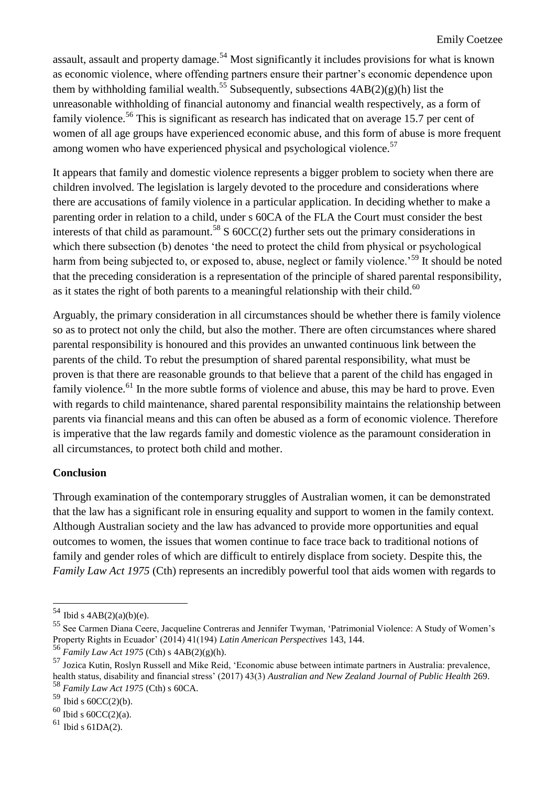assault, assault and property damage.<sup>54</sup> Most significantly it includes provisions for what is known as economic violence, where offending partners ensure their partner's economic dependence upon them by withholding familial wealth.<sup>55</sup> Subsequently, subsections  $4AB(2)(g)(h)$  list the unreasonable withholding of financial autonomy and financial wealth respectively, as a form of family violence.<sup>56</sup> This is significant as research has indicated that on average 15.7 per cent of women of all age groups have experienced economic abuse, and this form of abuse is more frequent among women who have experienced physical and psychological violence.<sup>57</sup>

It appears that family and domestic violence represents a bigger problem to society when there are children involved. The legislation is largely devoted to the procedure and considerations where there are accusations of family violence in a particular application. In deciding whether to make a parenting order in relation to a child, under s 60CA of the FLA the Court must consider the best interests of that child as paramount.<sup>58</sup> S  $60CC(2)$  further sets out the primary considerations in which there subsection (b) denotes 'the need to protect the child from physical or psychological harm from being subjected to, or exposed to, abuse, neglect or family violence.<sup>59</sup> It should be noted that the preceding consideration is a representation of the principle of shared parental responsibility, as it states the right of both parents to a meaningful relationship with their child.<sup>60</sup>

Arguably, the primary consideration in all circumstances should be whether there is family violence so as to protect not only the child, but also the mother. There are often circumstances where shared parental responsibility is honoured and this provides an unwanted continuous link between the parents of the child. To rebut the presumption of shared parental responsibility, what must be proven is that there are reasonable grounds to that believe that a parent of the child has engaged in family violence.<sup>61</sup> In the more subtle forms of violence and abuse, this may be hard to prove. Even with regards to child maintenance, shared parental responsibility maintains the relationship between parents via financial means and this can often be abused as a form of economic violence. Therefore is imperative that the law regards family and domestic violence as the paramount consideration in all circumstances, to protect both child and mother.

## **Conclusion**

Through examination of the contemporary struggles of Australian women, it can be demonstrated that the law has a significant role in ensuring equality and support to women in the family context. Although Australian society and the law has advanced to provide more opportunities and equal outcomes to women, the issues that women continue to face trace back to traditional notions of family and gender roles of which are difficult to entirely displace from society. Despite this, the *Family Law Act 1975* (Cth) represents an incredibly powerful tool that aids women with regards to

1

 $54$  Ibid s  $4AB(2)(a)(b)(e)$ .

<sup>55</sup> See Carmen Diana Ceere, Jacqueline Contreras and Jennifer Twyman, 'Patrimonial Violence: A Study of Women's Property Rights in Ecuador' (2014) 41(194) *Latin American Perspectives* 143, 144.

<sup>56</sup> *Family Law Act 1975* (Cth) s 4AB(2)(g)(h).

<sup>57</sup> Jozica Kutin, Roslyn Russell and Mike Reid, 'Economic abuse between intimate partners in Australia: prevalence, health status, disability and financial stress' (2017) 43(3) *Australian and New Zealand Journal of Public Health* 269. <sup>58</sup> *Family Law Act 1975* (Cth) s 60CA.

 $59$  Ibid s  $60CC(2)(b)$ .

 $60$  Ibid s  $60CC(2)(a)$ .

 $61$  Ibid s 61DA(2).